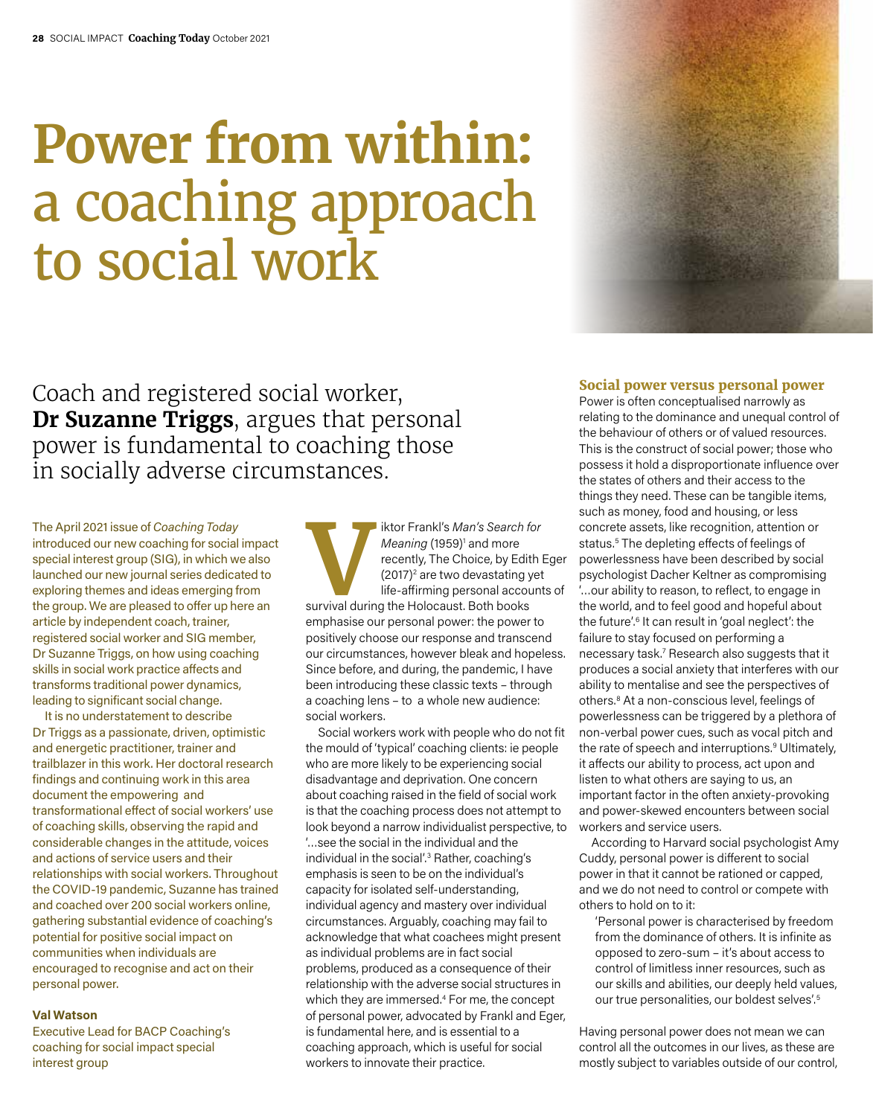# **Power from within:**  a coaching approach to social work



Coach and registered social worker, **Dr Suzanne Triggs**, argues that personal power is fundamental to coaching those in socially adverse circumstances.

The April 2021 issue of *Coaching Today*  introduced our new coaching for social impact special interest group (SIG), in which we also launched our new journal series dedicated to exploring themes and ideas emerging from the group. We are pleased to offer up here an article by independent coach, trainer, registered social worker and SIG member, Dr Suzanne Triggs, on how using coaching skills in social work practice affects and transforms traditional power dynamics, leading to significant social change.

It is no understatement to describe Dr Triggs as a passionate, driven, optimistic and energetic practitioner, trainer and trailblazer in this work. Her doctoral research findings and continuing work in this area document the empowering and transformational effect of social workers' use of coaching skills, observing the rapid and considerable changes in the attitude, voices and actions of service users and their relationships with social workers. Throughout the COVID-19 pandemic, Suzanne has trained and coached over 200 social workers online, gathering substantial evidence of coaching's potential for positive social impact on communities when individuals are encouraged to recognise and act on their personal power.

### **Val Watson**

Executive Lead for BACP Coaching's coaching for social impact special interest group

**Viktor Frankl's** *Man's Search for*<br> *Meaning* (1959)<sup>1</sup> and more<br>
recently, The Choice, by Edith<br>
(2017)<sup>2</sup> are two devastating yet<br>
life-affirming personal account<br>
survival during the Holocaust. Both books *Meaning* (1959)<sup>1</sup> and more recently, The Choice, by Edith Eger (2017)<sup>2</sup> are two devastating yet life-affirming personal accounts of emphasise our personal power: the power to positively choose our response and transcend our circumstances, however bleak and hopeless. Since before, and during, the pandemic, I have been introducing these classic texts – through a coaching lens – to a whole new audience: social workers.

Social workers work with people who do not fit the mould of 'typical' coaching clients: ie people who are more likely to be experiencing social disadvantage and deprivation. One concern about coaching raised in the field of social work is that the coaching process does not attempt to look beyond a narrow individualist perspective, to '…see the social in the individual and the individual in the social'.3 Rather, coaching's emphasis is seen to be on the individual's capacity for isolated self-understanding, individual agency and mastery over individual circumstances. Arguably, coaching may fail to acknowledge that what coachees might present as individual problems are in fact social problems, produced as a consequence of their relationship with the adverse social structures in which they are immersed.<sup>4</sup> For me, the concept of personal power, advocated by Frankl and Eger, is fundamental here, and is essential to a coaching approach, which is useful for social workers to innovate their practice.

# **Social power versus personal power**

Power is often conceptualised narrowly as relating to the dominance and unequal control of the behaviour of others or of valued resources. This is the construct of social power; those who possess it hold a disproportionate influence over the states of others and their access to the things they need. These can be tangible items, such as money, food and housing, or less concrete assets, like recognition, attention or status.<sup>5</sup> The depleting effects of feelings of powerlessness have been described by social psychologist Dacher Keltner as compromising '…our ability to reason, to reflect, to engage in the world, and to feel good and hopeful about the future'.<sup>6</sup> It can result in 'goal neglect': the failure to stay focused on performing a necessary task.7 Research also suggests that it produces a social anxiety that interferes with our ability to mentalise and see the perspectives of others.8 At a non-conscious level, feelings of powerlessness can be triggered by a plethora of non-verbal power cues, such as vocal pitch and the rate of speech and interruptions.<sup>9</sup> Ultimately, it affects our ability to process, act upon and listen to what others are saying to us, an important factor in the often anxiety-provoking and power-skewed encounters between social workers and service users.

According to Harvard social psychologist Amy Cuddy, personal power is different to social power in that it cannot be rationed or capped, and we do not need to control or compete with others to hold on to it:

'Personal power is characterised by freedom from the dominance of others. It is infinite as opposed to zero-sum – it's about access to control of limitless inner resources, such as our skills and abilities, our deeply held values, our true personalities, our boldest selves'.5

Having personal power does not mean we can control all the outcomes in our lives, as these are mostly subject to variables outside of our control,